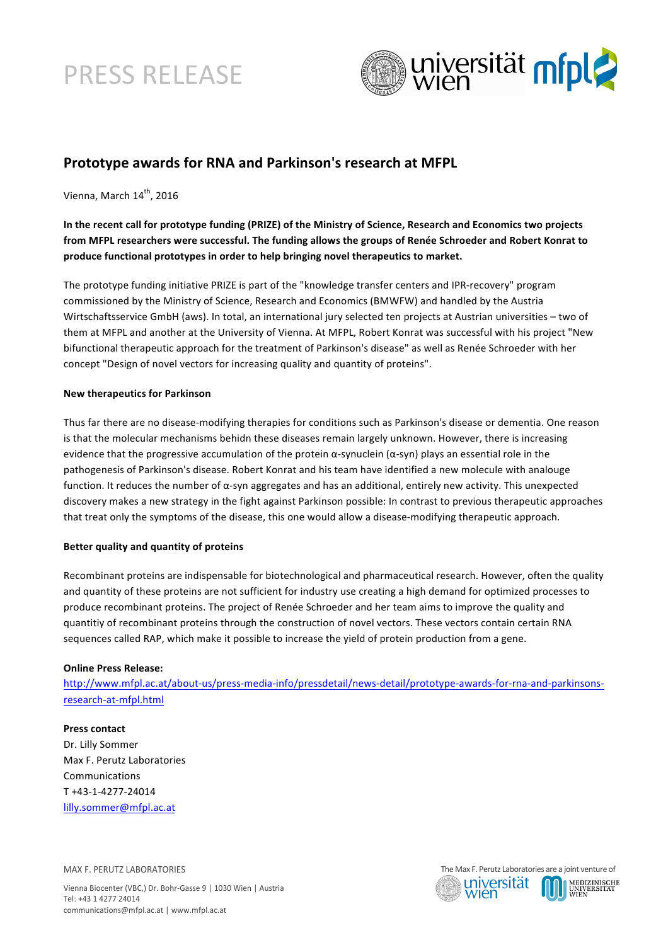# PRESS RELEASE



# **Prototype awards for RNA and Parkinson's research at MFPL**

Vienna, March 14<sup>th</sup>, 2016

## In the recent call for prototype funding (PRIZE) of the Ministry of Science, Research and Economics two projects from MFPL researchers were successful. The funding allows the groups of Renée Schroeder and Robert Konrat to produce functional prototypes in order to help bringing novel therapeutics to market.

The prototype funding initiative PRIZE is part of the "knowledge transfer centers and IPR-recovery" program commissioned by the Ministry of Science, Research and Economics (BMWFW) and handled by the Austria Wirtschaftsservice GmbH (aws). In total, an international jury selected ten projects at Austrian universities – two of them at MFPL and another at the University of Vienna. At MFPL, Robert Konrat was successful with his project "New bifunctional therapeutic approach for the treatment of Parkinson's disease" as well as Renée Schroeder with her concept "Design of novel vectors for increasing quality and quantity of proteins".

#### **New therapeutics for Parkinson**

Thus far there are no disease-modifying therapies for conditions such as Parkinson's disease or dementia. One reason is that the molecular mechanisms behidn these diseases remain largely unknown. However, there is increasing evidence that the progressive accumulation of the protein  $\alpha$ -synuclein  $(\alpha$ -syn) plays an essential role in the pathogenesis of Parkinson's disease. Robert Konrat and his team have identified a new molecule with analouge function. It reduces the number of  $\alpha$ -syn aggregates and has an additional, entirely new activity. This unexpected discovery makes a new strategy in the fight against Parkinson possible: In contrast to previous therapeutic approaches that treat only the symptoms of the disease, this one would allow a disease-modifying therapeutic approach.

#### **Better quality and quantity of proteins**

Recombinant proteins are indispensable for biotechnological and pharmaceutical research. However, often the quality and quantity of these proteins are not sufficient for industry use creating a high demand for optimized processes to produce recombinant proteins. The project of Renée Schroeder and her team aims to improve the quality and quantitiy of recombinant proteins through the construction of novel vectors. These vectors contain certain RNA sequences called RAP, which make it possible to increase the yield of protein production from a gene.

#### **Online Press Release:**

http://www.mfpl.ac.at/about-us/press-media-info/pressdetail/news-detail/prototype-awards-for-rna-and-parkinsonsresearch-at-mfpl.html

### **Press contact**

Dr. Lilly Sommer Max F. Perutz Laboratories Communications T +43-1-4277-24014 lilly.sommer@mfpl.ac.at

MAX F. PERUTZ LABORATORIES

Vienna Biocenter (VBC,) Dr. Bohr-Gasse 9 | 1030 Wien | Austria Tel: +43 1 4277 24014 communications@mfpl.ac.at | www.mfpl.ac.at